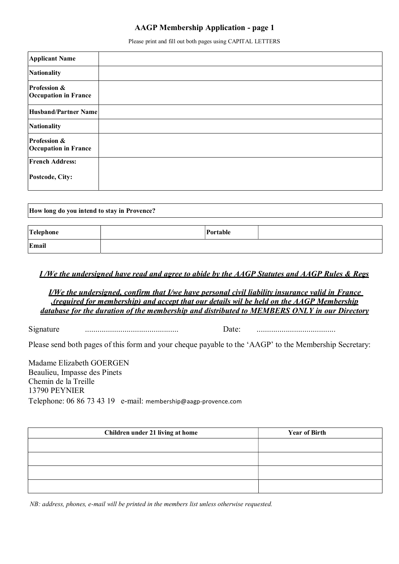## AAGP Membership Application - page 1

Please print and fill out both pages using CAPITAL LETTERS

| <b>Applicant Name</b>                       |  |
|---------------------------------------------|--|
| Nationality                                 |  |
| Profession &<br><b>Occupation in France</b> |  |
| Husband/Partner Name                        |  |
| Nationality                                 |  |
| Profession &<br><b>Occupation in France</b> |  |
| <b>French Address:</b>                      |  |
| Postcode, City:                             |  |

| How long do you intend to stay in Provence? |  |          |  |  |
|---------------------------------------------|--|----------|--|--|
| Telephone                                   |  | Portable |  |  |
| Email                                       |  |          |  |  |

### I /We the undersigned have read and agree to abide by the AAGP Statutes and AAGP Rules & Regs

I/We the undersigned, confirm that I/we have personal civil liability insurance valid in France .(required for membership) and accept that our details wil be held on the AAGP Membership database for the duration of the membership and distributed to MEMBERS ONLY in our Directory

Signature ............................................. Date: ......................................

Please send both pages of this form and your cheque payable to the 'AAGP' to the Membership Secretary:

Madame Elizabeth GOERGEN Beaulieu, Impasse des Pinets Chemin de la Treille 13790 PEYNIER Telephone: 06 86 73 43 19 e-mail: membership@aagp-provence.com

| Children under 21 living at home | <b>Year of Birth</b> |
|----------------------------------|----------------------|
|                                  |                      |
|                                  |                      |
|                                  |                      |
|                                  |                      |

NB: address, phones, e-mail will be printed in the members list unless otherwise requested.